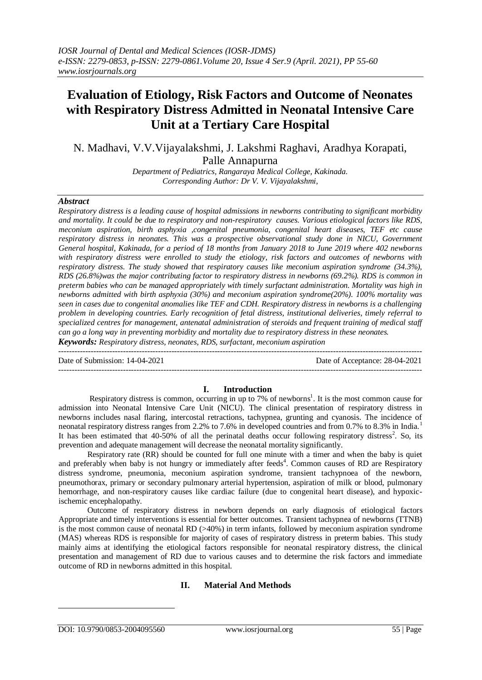# **Evaluation of Etiology, Risk Factors and Outcome of Neonates with Respiratory Distress Admitted in Neonatal Intensive Care Unit at a Tertiary Care Hospital**

N. Madhavi, V.V.Vijayalakshmi, J. Lakshmi Raghavi, Aradhya Korapati,

Palle Annapurna

*Department of Pediatrics, Rangaraya Medical College, Kakinada. Corresponding Author: Dr V. V. Vijayalakshmi,*

## *Abstract*

*Respiratory distress is a leading cause of hospital admissions in newborns contributing to significant morbidity and mortality. It could be due to respiratory and non-respiratory causes. Various etiological factors like RDS, meconium aspiration, birth asphyxia ,congenital pneumonia, congenital heart diseases, TEF etc cause respiratory distress in neonates. This was a prospective observational study done in NICU, Government General hospital, Kakinada, for a period of 18 months from January 2018 to June 2019 where 402 newborns with respiratory distress were enrolled to study the etiology, risk factors and outcomes of newborns with respiratory distress. The study showed that respiratory causes like meconium aspiration syndrome (34.3%), RDS (26.8%)was the major contributing factor to respiratory distress in newborns (69.2%). RDS is common in preterm babies who can be managed appropriately with timely surfactant administration. Mortality was high in newborns admitted with birth asphyxia (30%) and meconium aspiration syndrome(20%). 100% mortality was seen in cases due to congenital anomalies like TEF and CDH. Respiratory distress in newborns is a challenging problem in developing countries. Early recognition of fetal distress, institutional deliveries, timely referral to specialized centres for management, antenatal administration of steroids and frequent training of medical staff can go a long way in preventing morbidity and mortality due to respiratory distress in these neonates. Keywords: Respiratory distress, neonates, RDS, surfactant, meconium aspiration*

--------------------------------------------------------------------------------------------------------------------------------------- Date of Submission: 14-04-2021 Date of Acceptance: 28-04-2021

---------------------------------------------------------------------------------------------------------------------------------------

## **I. Introduction**

Respiratory distress is common, occurring in up to 7% of newborns<sup>1</sup>. It is the most common cause for admission into Neonatal Intensive Care Unit (NICU). The clinical presentation of respiratory distress in newborns includes nasal flaring, intercostal retractions, tachypnea, grunting and cyanosis. The incidence of neonatal respiratory distress ranges from 2.2% to 7.6% in developed countries and from 0.7% to 8.3% in India.<sup>1</sup> It has been estimated that  $40-50\%$  of all the perinatal deaths occur following respiratory distress<sup>2</sup>. So, its prevention and adequate management will decrease the neonatal mortality significantly.

Respiratory rate (RR) should be counted for full one minute with a timer and when the baby is quiet and preferably when baby is not hungry or immediately after feeds<sup>4</sup>. Common causes of RD are Respiratory distress syndrome, pneumonia, meconium aspiration syndrome, transient tachypnoea of the newborn, pneumothorax, primary or secondary pulmonary arterial hypertension, aspiration of milk or blood, pulmonary hemorrhage, and non-respiratory causes like cardiac failure (due to congenital heart disease), and hypoxicischemic encephalopathy.

Outcome of respiratory distress in newborn depends on early diagnosis of etiological factors Appropriate and timely interventions is essential for better outcomes. Transient tachypnea of newborns (TTNB) is the most common cause of neonatal RD  $(>40%)$  in term infants, followed by meconium aspiration syndrome (MAS) whereas RDS is responsible for majority of cases of respiratory distress in preterm babies. This study mainly aims at identifying the etiological factors responsible for neonatal respiratory distress, the clinical presentation and management of RD due to various causes and to determine the risk factors and immediate outcome of RD in newborns admitted in this hospital.

## **II. Material And Methods**

1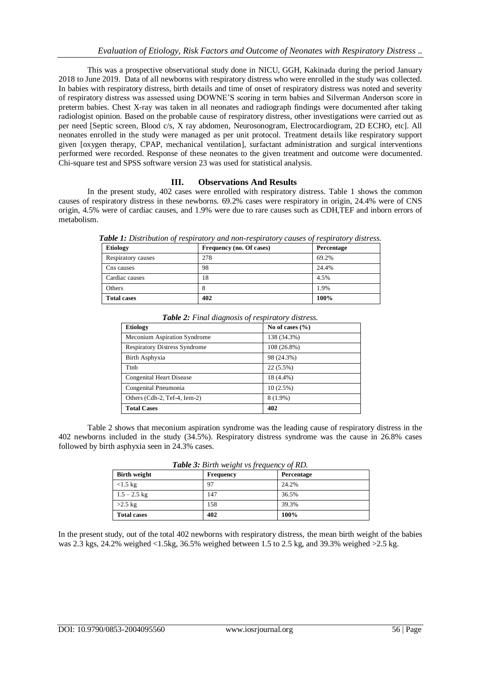This was a prospective observational study done in NICU, GGH, Kakinada during the period January 2018 to June 2019. Data of all newborns with respiratory distress who were enrolled in the study was collected. In babies with respiratory distress, birth details and time of onset of respiratory distress was noted and severity of respiratory distress was assessed using DOWNE'S scoring in term babies and Silverman Anderson score in preterm babies. Chest X-ray was taken in all neonates and radiograph findings were documented after taking radiologist opinion. Based on the probable cause of respiratory distress, other investigations were carried out as per need [Septic screen, Blood c/s, X ray abdomen, Neurosonogram, Electrocardiogram, 2D ECHO, etc]. All neonates enrolled in the study were managed as per unit protocol. Treatment details like respiratory support given [oxygen therapy, CPAP, mechanical ventilation], surfactant administration and surgical interventions performed were recorded. Response of these neonates to the given treatment and outcome were documented. Chi-square test and SPSS software version 23 was used for statistical analysis.

## **III. Observations And Results**

In the present study, 402 cases were enrolled with respiratory distress. Table 1 shows the common causes of respiratory distress in these newborns. 69.2% cases were respiratory in origin, 24.4% were of CNS origin, 4.5% were of cardiac causes, and 1.9% were due to rare causes such as CDH,TEF and inborn errors of metabolism.

| <b>Etiology</b><br>Frequency (no. Of cases) |     | Percentage |  |
|---------------------------------------------|-----|------------|--|
| Respiratory causes                          | 278 | 69.2%      |  |
| Cns causes                                  | 98  | 24.4%      |  |
| Cardiac causes                              | 18  | 4.5%       |  |
| Others                                      |     | 1.9%       |  |
| <b>Total cases</b>                          | 402 | 100%       |  |

*Table 1: Distribution of respiratory and non-respiratory causes of respiratory distress.*

| <b>Etiology</b>                      | No of cases $(\% )$ |  |
|--------------------------------------|---------------------|--|
| Meconium Aspiration Syndrome         | 138 (34.3%)         |  |
| <b>Respiratory Distress Syndrome</b> | 108 (26.8%)         |  |
| Birth Asphyxia                       | 98 (24.3%)          |  |
| Ttnb                                 | 22 (5.5%)           |  |
| <b>Congenital Heart Disease</b>      | 18 (4.4%)           |  |
| Congenital Pneumonia                 | 10(2.5%)            |  |
| Others (Cdh-2, Tef-4, Iem-2)         | 8 (1.9%)            |  |
| <b>Total Cases</b>                   | 402                 |  |

*Table 2: Final diagnosis of respiratory distress.*

Table 2 shows that meconium aspiration syndrome was the leading cause of respiratory distress in the 402 newborns included in the study (34.5%). Respiratory distress syndrome was the cause in 26.8% cases followed by birth asphyxia seen in 24.3% cases.

| <b>Birth weight</b> | <b>Frequency</b> | Percentage |
|---------------------|------------------|------------|
| $<1.5$ kg           | 97               | 24.2%      |
| $1.5 - 2.5$ kg      | 147              | 36.5%      |
| $>2.5$ kg           | 158              | 39.3%      |
| <b>Total cases</b>  | 402              | 100%       |

*Table 3: Birth weight vs frequency of RD.*

In the present study, out of the total 402 newborns with respiratory distress, the mean birth weight of the babies was 2.3 kgs, 24.2% weighed <1.5kg, 36.5% weighed between 1.5 to 2.5 kg, and 39.3% weighed >2.5 kg.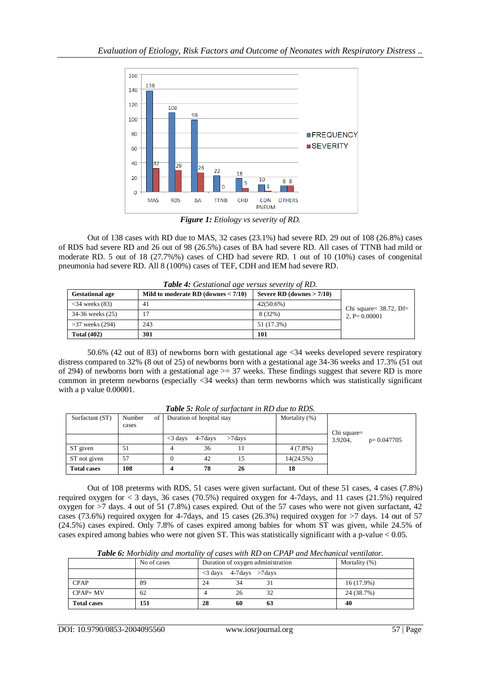

*Figure 1: Etiology vs severity of RD.*

Out of 138 cases with RD due to MAS, 32 cases (23.1%) had severe RD. 29 out of 108 (26.8%) cases of RDS had severe RD and 26 out of 98 (26.5%) cases of BA had severe RD. All cases of TTNB had mild or moderate RD. 5 out of 18 (27.7%%) cases of CHD had severe RD. 1 out of 10 (10%) cases of congenital pneumonia had severe RD. All 8 (100%) cases of TEF, CDH and IEM had severe RD.

| <b>Gestational age</b>  | Mild to moderate RD (downes $< 7/10$ ) | Severe RD (downes $> 7/10$ ) |                           |
|-------------------------|----------------------------------------|------------------------------|---------------------------|
| $\langle$ 34 weeks (83) | 41                                     | $42(50.6\%)$                 | Chi square= $38.72$ , Df= |
| 34-36 weeks (25)        |                                        | 8 (32%)                      | 2. P= $0.00001$           |
| $>37$ weeks (294)       | 243                                    | 51 (17.3%)                   |                           |
| <b>Total (402)</b>      | 301                                    | 101                          |                           |

*Table 4: Gestational age versus severity of RD.*

50.6% (42 out of 83) of newborns born with gestational age <34 weeks developed severe respiratory distress compared to 32% (8 out of 25) of newborns born with a gestational age 34-36 weeks and 17.3% (51 out of 294) of newborns born with a gestational age  $\geq$  37 weeks. These findings suggest that severe RD is more common in preterm newborns (especially <34 weeks) than term newborns which was statistically significant with a p value 0.00001.

| Surfactant (ST)    | Number<br>of 1<br>cases |            | Duration of hospital stay |           | Mortality (%) |                        |              |
|--------------------|-------------------------|------------|---------------------------|-----------|---------------|------------------------|--------------|
|                    |                         | $<$ 3 days | 4-7 days                  | $>7$ days |               | Chi square=<br>3.9204. | $p=0.047705$ |
| ST given           | 51                      |            | 36                        | 11        | $4(7.8\%)$    |                        |              |
| ST not given       | 57                      |            | 42                        | 15        | 14(24.5%)     |                        |              |
| <b>Total cases</b> | 108                     | 4          | 78                        | 26        | 18            |                        |              |

*Table 5: Role of surfactant in RD due to RDS.*

Out of 108 preterms with RDS, 51 cases were given surfactant. Out of these 51 cases, 4 cases (7.8%) required oxygen for < 3 days, 36 cases (70.5%) required oxygen for 4-7days, and 11 cases (21.5%) required oxygen for >7 days. 4 out of 51 (7.8%) cases expired. Out of the 57 cases who were not given surfactant, 42 cases (73.6%) required oxygen for 4-7days, and 15 cases (26.3%) required oxygen for >7 days. 14 out of 57 (24.5%) cases expired. Only 7.8% of cases expired among babies for whom ST was given, while 24.5% of cases expired among babies who were not given ST. This was statistically significant with a p-value < 0.05.

|                    | No of cases | Duration of oxygen administration    | Mortality $(\%)$ |
|--------------------|-------------|--------------------------------------|------------------|
|                    |             | $\langle$ 3 days 4-7 days $>$ 7 days |                  |
| <b>CPAP</b>        | 89          | 24<br>34                             | 16 (17.9%)       |
| $CPAP+MV$          | 62          | 32<br>26                             | 24 (38.7%)       |
| <b>Total cases</b> | 151         | 28<br>60<br>63                       | 40               |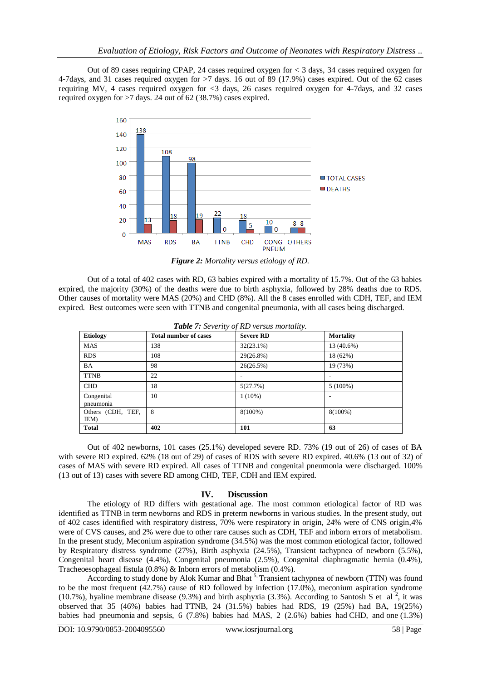Out of 89 cases requiring CPAP, 24 cases required oxygen for < 3 days, 34 cases required oxygen for 4-7days, and 31 cases required oxygen for >7 days. 16 out of 89 (17.9%) cases expired. Out of the 62 cases requiring MV, 4 cases required oxygen for <3 days, 26 cases required oxygen for 4-7days, and 32 cases required oxygen for >7 days. 24 out of 62 (38.7%) cases expired.



*Figure 2: Mortality versus etiology of RD.*

Out of a total of 402 cases with RD, 63 babies expired with a mortality of 15.7%. Out of the 63 babies expired, the majority (30%) of the deaths were due to birth asphyxia, followed by 28% deaths due to RDS. Other causes of mortality were MAS (20%) and CHD (8%). All the 8 cases enrolled with CDH, TEF, and IEM expired. Best outcomes were seen with TTNB and congenital pneumonia, with all cases being discharged.

| <b>Etiology</b>           | <b>Total number of cases</b> | <b>Severe RD</b> | <b>Mortality</b> |
|---------------------------|------------------------------|------------------|------------------|
| <b>MAS</b>                | 138                          | $32(23.1\%)$     | 13 (40.6%)       |
| <b>RDS</b>                | 108                          | 29(26.8%)        | 18 (62%)         |
| ΒA                        | 98                           | 26(26.5%)        | 19 (73%)         |
| <b>TTNB</b>               | 22                           | -                |                  |
| <b>CHD</b>                | 18                           | 5(27.7%)         | $5(100\%)$       |
| Congenital<br>pneumonia   | 10                           | $1(10\%)$        |                  |
| Others (CDH, TEF,<br>IEM) | 8                            | $8(100\%)$       | $8(100\%)$       |
| <b>Total</b>              | 402                          | 101              | 63               |

|  |  |  |  | Table 7: Severity of RD versus mortality. |
|--|--|--|--|-------------------------------------------|
|--|--|--|--|-------------------------------------------|

Out of 402 newborns, 101 cases (25.1%) developed severe RD. 73% (19 out of 26) of cases of BA with severe RD expired. 62% (18 out of 29) of cases of RDS with severe RD expired. 40.6% (13 out of 32) of cases of MAS with severe RD expired. All cases of TTNB and congenital pneumonia were discharged. 100% (13 out of 13) cases with severe RD among CHD, TEF, CDH and IEM expired.

## **IV. Discussion**

The etiology of RD differs with gestational age. The most common etiological factor of RD was identified as TTNB in term newborns and RDS in preterm newborns in various studies. In the present study, out of 402 cases identified with respiratory distress, 70% were respiratory in origin, 24% were of CNS origin,4% were of CVS causes, and 2% were due to other rare causes such as CDH, TEF and inborn errors of metabolism. In the present study, Meconium aspiration syndrome (34.5%) was the most common etiological factor, followed by Respiratory distress syndrome (27%), Birth asphyxia (24.5%), Transient tachypnea of newborn (5.5%), Congenital heart disease (4.4%), Congenital pneumonia (2.5%), Congenital diaphragmatic hernia (0.4%), Tracheoesophageal fistula (0.8%) & Inborn errors of metabolism (0.4%).

According to study done by Alok Kumar and Bhat <sup>5,</sup> Transient tachypnea of newborn (TTN) was found to be the most frequent (42.7%) cause of RD followed by infection (17.0%), meconium aspiration syndrome (10.7%), hyaline membrane disease (9.3%) and birth asphyxia (3.3%). According to Santosh S et al<sup>2</sup>, it was observed that 35 (46%) babies had TTNB, 24 (31.5%) babies had RDS, 19 (25%) had BA, 19(25%) babies had pneumonia and sepsis, 6 (7.8%) babies had MAS, 2 (2.6%) babies had CHD, and one (1.3%)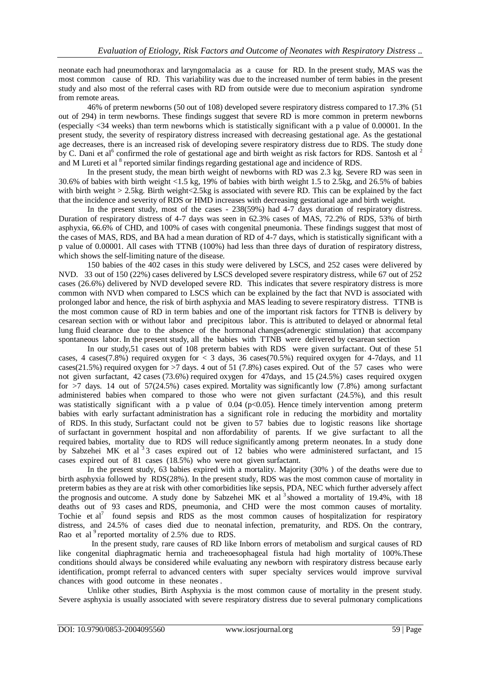neonate each had pneumothorax and laryngomalacia as a cause for RD. In the present study, MAS was the most common cause of RD. This variability was due to the increased number of term babies in the present study and also most of the referral cases with RD from outside were due to meconium aspiration syndrome from remote areas.

46% of preterm newborns (50 out of 108) developed severe respiratory distress compared to 17.3% (51 out of 294) in term newborns. These findings suggest that severe RD is more common in preterm newborns (especially <34 weeks) than term newborns which is statistically significant with a p value of 0.00001. In the present study, the severity of respiratory distress increased with decreasing gestational age. As the gestational age decreases, there is an increased risk of developing severe respiratory distress due to RDS. The study done by C. Dani et al<sup>6</sup> confirmed the role of gestational age and birth weight as risk factors for RDS. Santosh et al  $^2$ and M Lureti et al <sup>8</sup> reported similar findings regarding gestational age and incidence of RDS.

In the present study, the mean birth weight of newborns with RD was 2.3 kg. Severe RD was seen in 30.6% of babies with birth weight <1.5 kg, 19% of babies with birth weight 1.5 to 2.5kg, and 26.5% of babies with birth weight  $> 2.5$ kg. Birth weight < 2.5kg is associated with severe RD. This can be explained by the fact that the incidence and severity of RDS or HMD increases with decreasing gestational age and birth weight.

In the present study, most of the cases - 238(59%) had 4-7 days duration of respiratory distress. Duration of respiratory distress of 4-7 days was seen in 62.3% cases of MAS, 72.2% of RDS, 53% of birth asphyxia, 66.6% of CHD, and 100% of cases with congenital pneumonia. These findings suggest that most of the cases of MAS, RDS, and BA had a mean duration of RD of 4-7 days, which is statistically significant with a p value of 0.00001. All cases with TTNB (100%) had less than three days of duration of respiratory distress, which shows the self-limiting nature of the disease.

150 babies of the 402 cases in this study were delivered by LSCS, and 252 cases were delivered by NVD. 33 out of 150 (22%) cases delivered by LSCS developed severe respiratory distress, while 67 out of 252 cases (26.6%) delivered by NVD developed severe RD. This indicates that severe respiratory distress is more common with NVD when compared to LSCS which can be explained by the fact that NVD is associated with prolonged labor and hence, the risk of birth asphyxia and MAS leading to severe respiratory distress. TTNB is the most common cause of RD in term babies and one of the important risk factors for TTNB is delivery by cesarean section with or without labor and precipitous labor. This is attributed to delayed or abnormal fetal lung fluid clearance due to the absence of the hormonal changes(adrenergic stimulation) that accompany spontaneous labor. In the present study, all the babies with TTNB were delivered by cesarean section

In our study,51 cases out of 108 preterm babies with RDS were given surfactant. Out of these 51 cases, 4 cases(7.8%) required oxygen for  $\lt$  3 days, 36 cases(70.5%) required oxygen for 4-7days, and 11 cases(21.5%) required oxygen for  $>7$  days. 4 out of 51 (7.8%) cases expired. Out of the 57 cases who were not given surfactant, 42 cases (73.6%) required oxygen for 47days, and 15 (24.5%) cases required oxygen for  $>7$  days. 14 out of  $57(24.5%)$  cases expired. Mortality was significantly low  $(7.8%)$  among surfactant administered babies when compared to those who were not given surfactant (24.5%), and this result was statistically significant with a p value of  $0.04$  (p<0.05). Hence timely intervention among preterm babies with early surfactant administration has a significant role in reducing the morbidity and mortality of RDS. In this study, Surfactant could not be given to 57 babies due to logistic reasons like shortage of surfactant in government hospital and non affordability of parents. If we give surfactant to all the required babies, mortality due to RDS will reduce significantly among preterm neonates. In a study done by Sabzehei MK et al <sup>3</sup>3 cases expired out of 12 babies who were administered surfactant, and 15 cases expired out of 81 cases (18.5%) who were not given surfactant.

In the present study, 63 babies expired with a mortality. Majority (30% ) of the deaths were due to birth asphyxia followed by RDS(28%). In the present study, RDS was the most common cause of mortality in preterm babies as they are at risk with other comorbidities like sepsis, PDA, NEC which further adversely affect the prognosis and outcome. A study done by Sabzehei MK et al<sup>3</sup> showed a mortality of 19.4%, with 18 deaths out of 93 cases and RDS, pneumonia, and CHD were the most common causes of mortality. Tochie et  $al^7$  found sepsis and RDS as the most common causes of hospitalization for respiratory distress, and 24.5% of cases died due to neonatal infection, prematurity, and RDS. On the contrary, Rao et al <sup>9</sup> reported mortality of 2.5% due to RDS.

In the present study, rare causes of RD like Inborn errors of metabolism and surgical causes of RD like congenital diaphragmatic hernia and tracheoesophageal fistula had high mortality of 100%.These conditions should always be considered while evaluating any newborn with respiratory distress because early identification, prompt referral to advanced centers with super specialty services would improve survival chances with good outcome in these neonates .

Unlike other studies, Birth Asphyxia is the most common cause of mortality in the present study. Severe asphyxia is usually associated with severe respiratory distress due to several pulmonary complications